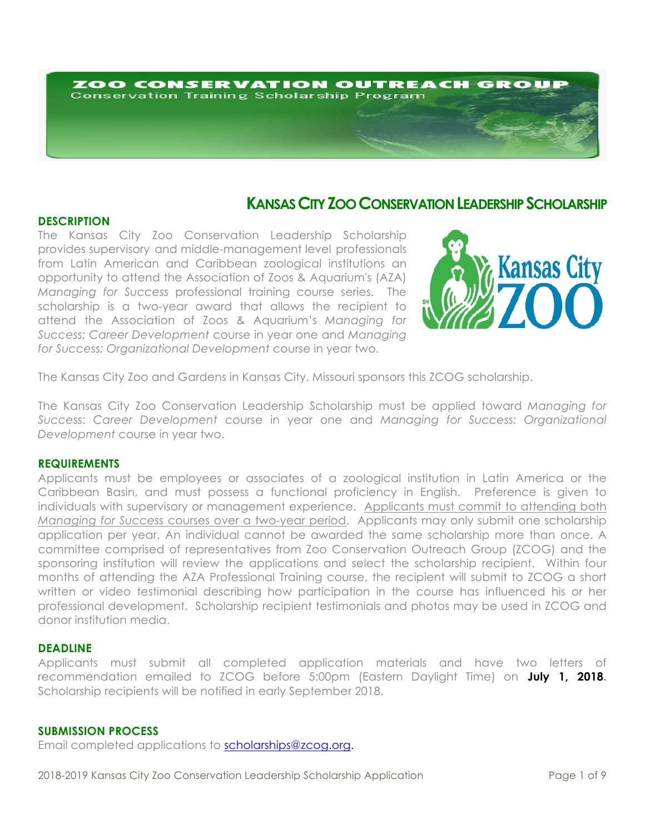# ZOO CONSERVATION OUTREACH GROUF **Conservation Training Scholarship Program**

# **KANSAS CITY ZOO CONSERVATION LEADERSHIP SCHOLARSHIP**

# **DESCRIPTION**

The Kansas City Zoo Conservation Leadership Scholarship provides supervisory and middle-management level professionals from Latin American and Caribbean zoological institutions an opportunity to attend the Association of Zoos & Aquarium's (AZA) *Managing for Success* professional training course series. The scholarship is a two-year award that allows the recipient to attend the Association of Zoos & Aquarium's *Managing for Success: Career Development* course in year one and *Managing for Success: Organizational Development* course in year two.



The Kansas City Zoo and Gardens in Kansas City, Missouri sponsors this ZCOG scholarship.

The Kansas City Zoo Conservation Leadership Scholarship must be applied toward *Managing for Success*: *Career Development* course in year one and *Managing for Success: Organizational Development* course in year two.

#### **REQUIREMENTS**

Applicants must be employees or associates of a zoological institution in Latin America or the Caribbean Basin, and must possess a functional proficiency in English. Preference is given to individuals with supervisory or management experience. Applicants must commit to attending both *Managing for Success* courses over a two-year period. Applicants may only submit one scholarship application per year. An individual cannot be awarded the same scholarship more than once. A committee comprised of representatives from Zoo Conservation Outreach Group (ZCOG) and the sponsoring institution will review the applications and select the scholarship recipient. Within four months of attending the AZA Professional Training course, the recipient will submit to ZCOG a short written or video testimonial describing how participation in the course has influenced his or her professional development. Scholarship recipient testimonials and photos may be used in ZCOG and donor institution media.

#### **DEADLINE**

Applicants must submit all completed application materials and have two letters of recommendation emailed to ZCOG before 5:00pm (Eastern Daylight Time) on **July 1, 2018.** Scholarship recipients will be notified in early September 2018.

# **SUBMISSION PROCESS**

Email completed applications to scholarships@zcog.org.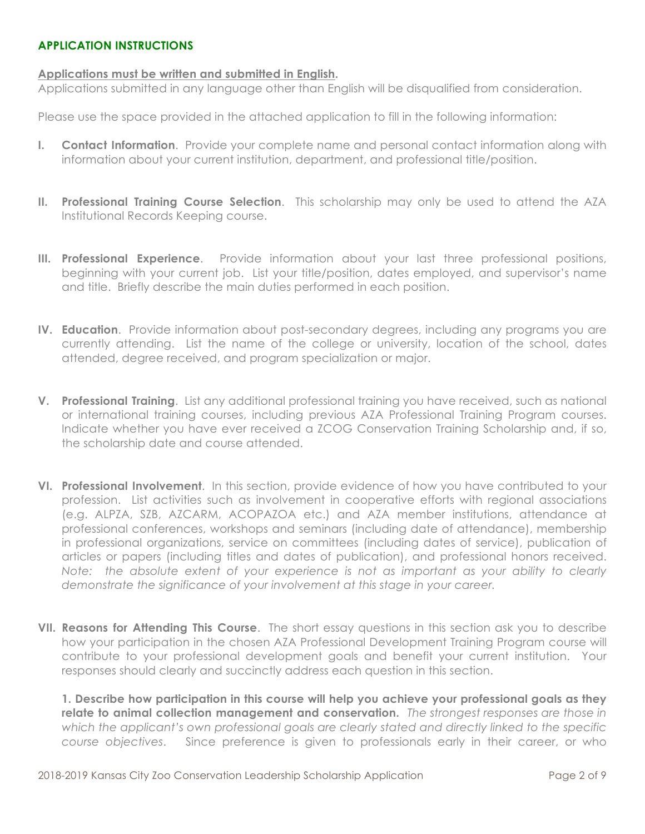# **APPLICATION INSTRUCTIONS**

# **Applications must be written and submitted in English.**

Applications submitted in any language other than English will be disqualified from consideration.

Please use the space provided in the attached application to fill in the following information:

- **I. Contact Information**. Provide your complete name and personal contact information along with information about your current institution, department, and professional title/position.
- **II. Professional Training Course Selection**. This scholarship may only be used to attend the AZA Institutional Records Keeping course.
- **III. Professional Experience**. Provide information about your last three professional positions, beginning with your current job. List your title/position, dates employed, and supervisor's name and title. Briefly describe the main duties performed in each position.
- **IV. Education**. Provide information about post-secondary degrees, including any programs you are currently attending. List the name of the college or university, location of the school, dates attended, degree received, and program specialization or major.
- **V. Professional Training**. List any additional professional training you have received, such as national or international training courses, including previous AZA Professional Training Program courses. Indicate whether you have ever received a ZCOG Conservation Training Scholarship and, if so, the scholarship date and course attended.
- **VI. Professional Involvement**. In this section, provide evidence of how you have contributed to your profession. List activities such as involvement in cooperative efforts with regional associations (e.g. ALPZA, SZB, AZCARM, ACOPAZOA etc.) and AZA member institutions, attendance at professional conferences, workshops and seminars (including date of attendance), membership in professional organizations, service on committees (including dates of service), publication of articles or papers (including titles and dates of publication), and professional honors received. *Note: the absolute extent of your experience is not as important as your ability to clearly demonstrate the significance of your involvement at this stage in your career.*
- **VII. Reasons for Attending This Course**. The short essay questions in this section ask you to describe how your participation in the chosen AZA Professional Development Training Program course will contribute to your professional development goals and benefit your current institution. Your responses should clearly and succinctly address each question in this section.

**1. Describe how participation in this course will help you achieve your professional goals as they relate to animal collection management and conservation.** *The strongest responses are those in which the applicant's own professional goals are clearly stated and directly linked to the specific course objectives*. Since preference is given to professionals early in their career, or who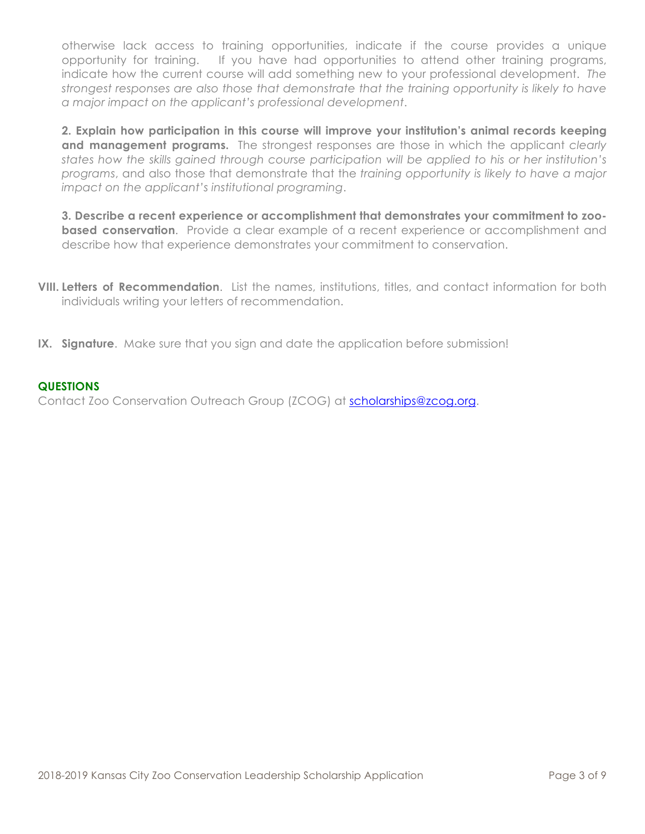otherwise lack access to training opportunities, indicate if the course provides a unique opportunity for training. If you have had opportunities to attend other training programs, indicate how the current course will add something new to your professional development. *The strongest responses are also those that demonstrate that the training opportunity is likely to have a major impact on the applicant's professional development*.

**2. Explain how participation in this course will improve your institution's animal records keeping and management programs.** The strongest responses are those in which the applicant *clearly states how the skills gained through course participation will be applied to his or her institution's programs*, and also those that demonstrate that the *training opportunity is likely to have a major impact on the applicant's institutional programing*.

**3. Describe a recent experience or accomplishment that demonstrates your commitment to zoobased conservation**. Provide a clear example of a recent experience or accomplishment and describe how that experience demonstrates your commitment to conservation.

- **VIII. Letters of Recommendation**. List the names, institutions, titles, and contact information for both individuals writing your letters of recommendation.
- **IX. Signature**. Make sure that you sign and date the application before submission!

# **QUESTIONS**

Contact Zoo Conservation Outreach Group (ZCOG) at scholarships@zcog.org.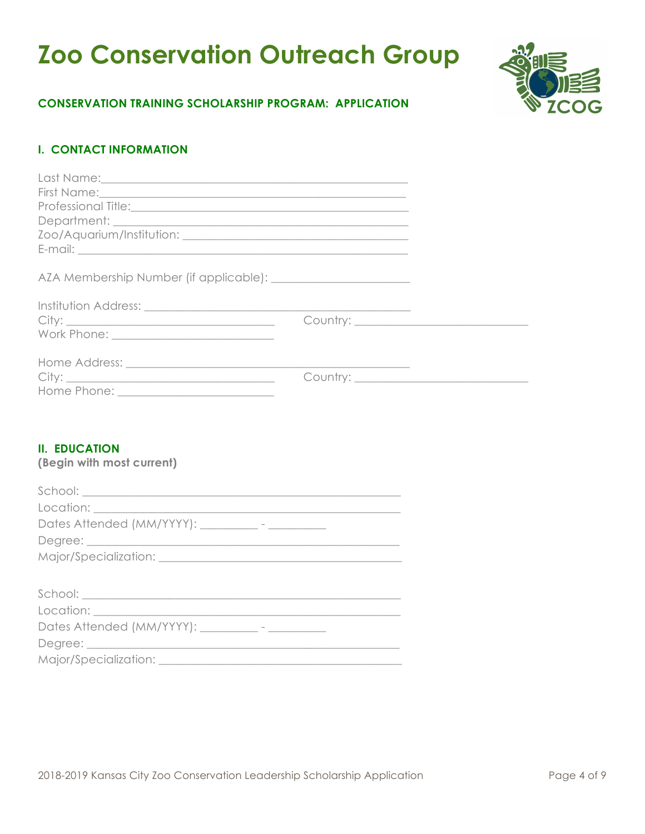# **Zoo Conservation Outreach Group**



# **CONSERVATION TRAINING SCHOLARSHIP PROGRAM: APPLICATION**

# **I. CONTACT INFORMATION**

# **II. EDUCATION**

**(Begin with most current)**

| $\begin{minipage}{.4\linewidth} \textbf{School:} \end{minipage} \vspace{-0.5em} \begin{minipage}{.45\linewidth} \textbf{School:} \end{minipage} \vspace{-0.5em} \begin{minipage}{.45\linewidth} \textbf{0} & \textbf{0} & \textbf{0} & \textbf{0} & \textbf{0} & \textbf{0} & \textbf{0} & \textbf{0} & \textbf{0} & \textbf{0} & \textbf{0} & \textbf{0} & \textbf{0} & \textbf{0} & \textbf{0} & \textbf{0} & \textbf{0} & \textbf{0} & \textbf{0} & \text$ |
|---------------------------------------------------------------------------------------------------------------------------------------------------------------------------------------------------------------------------------------------------------------------------------------------------------------------------------------------------------------------------------------------------------------------------------------------------------------|
|                                                                                                                                                                                                                                                                                                                                                                                                                                                               |
| Dates Attended (MM/YYYY): __________- - __________                                                                                                                                                                                                                                                                                                                                                                                                            |
|                                                                                                                                                                                                                                                                                                                                                                                                                                                               |
|                                                                                                                                                                                                                                                                                                                                                                                                                                                               |
|                                                                                                                                                                                                                                                                                                                                                                                                                                                               |
| $\begin{minipage}{.4\linewidth} \textbf{School:} \end{minipage} \vspace{-0.5em} \begin{minipage}{.45\linewidth} \textbf{School:} \end{minipage} \vspace{-0.5em} \begin{minipage}{.45\linewidth} \textbf{0} & \textbf{0} & \textbf{0} & \textbf{0} & \textbf{0} & \textbf{0} & \textbf{0} & \textbf{0} & \textbf{0} & \textbf{0} & \textbf{0} & \textbf{0} & \textbf{0} & \textbf{0} & \textbf{0} & \textbf{0} & \textbf{0} & \textbf{0} & \textbf{0} & \text$ |
|                                                                                                                                                                                                                                                                                                                                                                                                                                                               |
| Dates Attended (MM/YYYY): ___________- - __________                                                                                                                                                                                                                                                                                                                                                                                                           |
|                                                                                                                                                                                                                                                                                                                                                                                                                                                               |
|                                                                                                                                                                                                                                                                                                                                                                                                                                                               |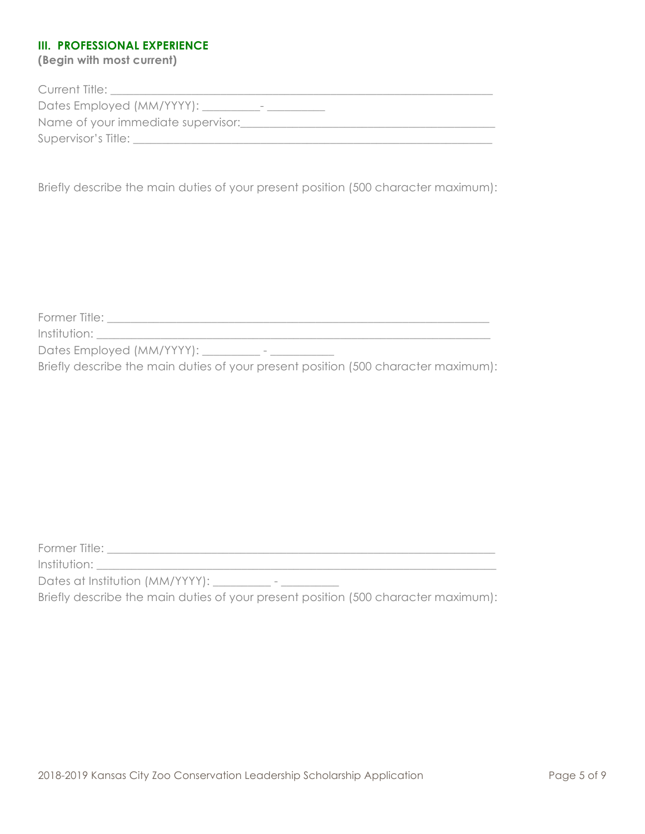# **III. PROFESSIONAL EXPERIENCE**

**(Begin with most current)**

| Current Title:                                   |
|--------------------------------------------------|
| Dates Employed (MM/YYYY): __<br>$\hspace{0.5cm}$ |
| Name of your immediate supervisor:               |
| Supervisor's Title:                              |
|                                                  |

Briefly describe the main duties of your present position (500 character maximum):

Former Title: \_\_\_\_\_\_\_\_\_\_\_\_\_\_\_\_\_\_\_\_\_\_\_\_\_\_\_\_\_\_\_\_\_\_\_\_\_\_\_\_\_\_\_\_\_\_\_\_\_\_\_\_\_\_\_\_\_\_\_\_\_\_\_\_\_\_

 $Institution:$   $\blacksquare$ 

Dates Employed (MM/YYYY): \_\_\_\_\_\_\_\_\_ - \_\_\_\_\_\_\_\_\_\_\_

Briefly describe the main duties of your present position (500 character maximum):

Former Title: \_\_\_\_\_\_\_\_\_\_\_\_\_\_\_\_\_\_\_\_\_\_\_\_\_\_\_\_\_\_\_\_\_\_\_\_\_\_\_\_\_\_\_\_\_\_\_\_\_\_\_\_\_\_\_\_\_\_\_\_\_\_\_\_\_\_\_

Institution: \_\_\_\_\_\_\_\_\_\_\_\_\_\_\_\_\_\_\_\_\_\_\_\_\_\_\_\_\_\_\_\_\_\_\_\_\_\_\_\_\_\_\_\_\_\_\_\_\_\_\_\_\_\_\_\_\_\_\_\_\_\_\_\_\_\_\_\_\_

Dates at Institution (MM/YYYY): \_\_\_\_\_\_\_\_\_\_ - \_\_\_\_\_\_\_\_\_\_

Briefly describe the main duties of your present position (500 character maximum):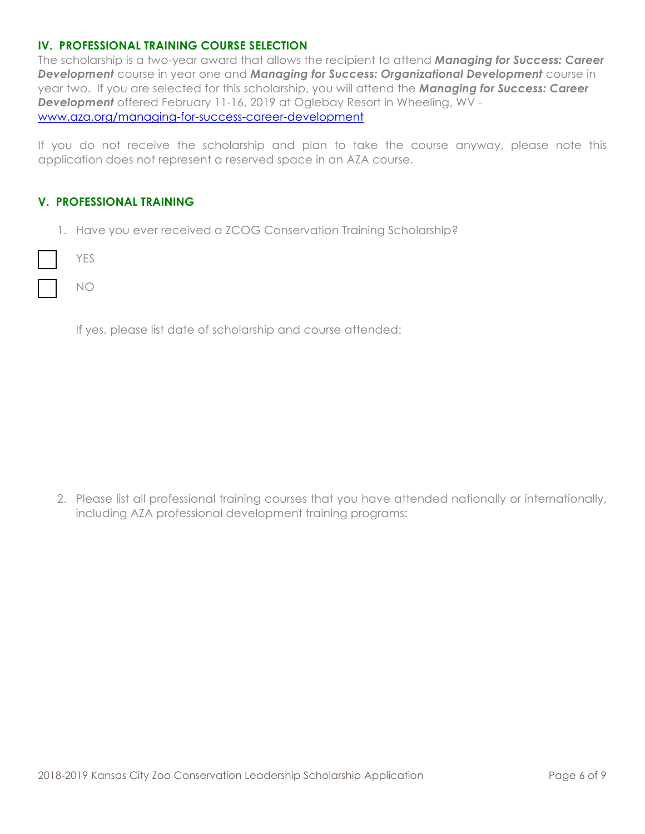# **IV. PROFESSIONAL TRAINING COURSE SELECTION**

The scholarship is a two-year award that allows the recipient to attend *Managing for Success: Career Development* course in year one and *Managing for Success: Organizational Development* course in year two. If you are selected for this scholarship, you will attend the *Managing for Success: Career Development* offered February 11-16, 2019 at Oglebay Resort in Wheeling, WV www.aza.org/managing-for-success-career-development

If you do not receive the scholarship and plan to take the course anyway, please note this application does not represent a reserved space in an AZA course.

# **V. PROFESSIONAL TRAINING**

1. Have you ever received a ZCOG Conservation Training Scholarship?

YES

NO

If yes, please list date of scholarship and course attended:

2. Please list all professional training courses that you have attended nationally or internationally, including AZA professional development training programs: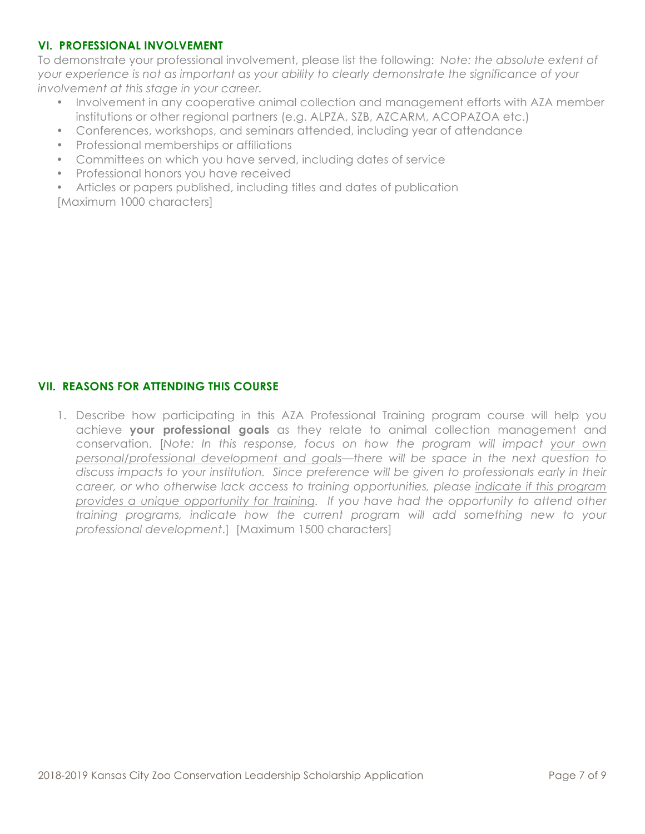# **VI. PROFESSIONAL INVOLVEMENT**

To demonstrate your professional involvement, please list the following: *Note: the absolute extent of your experience is not as important as your ability to clearly demonstrate the significance of your involvement at this stage in your career.* 

- Involvement in any cooperative animal collection and management efforts with AZA member institutions or other regional partners (e.g. ALPZA, SZB, AZCARM, ACOPAZOA etc.)
- Conferences, workshops, and seminars attended, including year of attendance
- Professional memberships or affiliations
- Committees on which you have served, including dates of service
- Professional honors you have received

• Articles or papers published, including titles and dates of publication [Maximum 1000 characters]

# **VII. REASONS FOR ATTENDING THIS COURSE**

1. Describe how participating in this AZA Professional Training program course will help you achieve **your professional goals** as they relate to animal collection management and conservation. [*Note: In this response, focus on how the program will impact your own personal/professional development and goals—there will be space in the next question to discuss impacts to your institution. Since preference will be given to professionals early in their career, or who otherwise lack access to training opportunities, please indicate if this program provides a unique opportunity for training. If you have had the opportunity to attend other training programs, indicate how the current program will add something new to your professional development*.] [Maximum 1500 characters]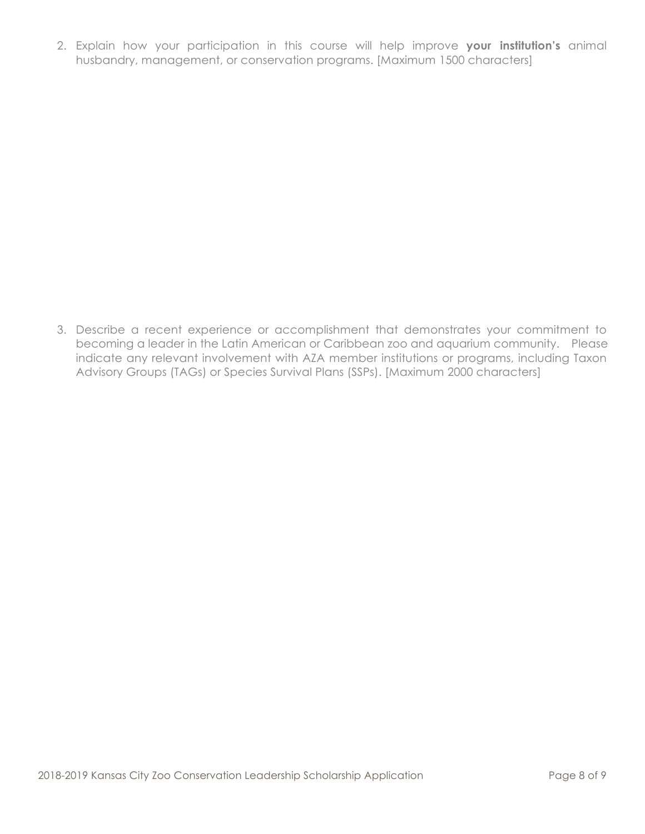2. Explain how your participation in this course will help improve **your institution's** animal husbandry, management, or conservation programs. [Maximum 1500 characters]

3. Describe a recent experience or accomplishment that demonstrates your commitment to becoming a leader in the Latin American or Caribbean zoo and aquarium community. Please indicate any relevant involvement with AZA member institutions or programs, including Taxon Advisory Groups (TAGs) or Species Survival Plans (SSPs). [Maximum 2000 characters]